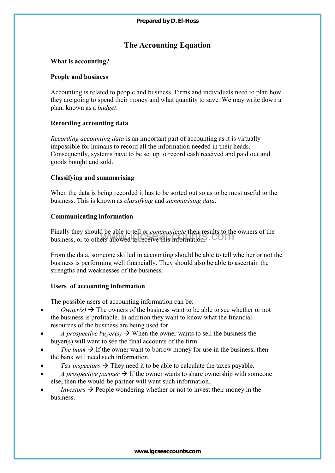# **The Accounting Equation**

## **What is accounting?**

#### **People and business**

Accounting is related to people and business. Firms and individuals need to plan how they are going to spend their money and what quantity to save. We may write down a plan, known as a *budget*.

# **Recording accounting data**

*Recording accounting data* is an important part of accounting as it is virtually impossible for humans to record all the information needed in their heads. Consequently, systems have to be set up to record cash received and paid out and goods bought and sold. Prepared by D. El-Hoss<br> **The Accounting Equation**<br> **ng?**<br>
ess<br>
ted to people and business. Firms and individuals<br>
pend their money and what quantity to save. We n<br> *udget*.<br> **ting data**<br>
ting data<br>
ting data<br>
ting data<br>
in

#### **Classifying and summarising**

When the data is being recorded it has to be sorted out so as to be most useful to the business. This is known as *classifying* and *summarising data*.

#### **Communicating information**

Finally they should be able to tell or *communicate* their results to the owners of the business, or to others allowed to receive this information.

From the data, someone skilled in accounting should be able to tell whether or not the business is performing well financially. They should also be able to ascertain the strengths and weaknesses of the business.

# **Users of accounting information**

The possible users of accounting information can be:

- $\bullet$  *Owner(s)*  $\rightarrow$  The owners of the business want to be able to see whether or not the business is profitable. In addition they want to know what the financial resources of the business are being used for.
- *A prospective buyer(s)*  $\rightarrow$  When the owner wants to sell the business the buyer(s) will want to see the final accounts of the firm.
- *The bank*  $\rightarrow$  If the owner want to borrow money for use in the business, then the bank will need such information.
- Tax inspectors  $\rightarrow$  They need it to be able to calculate the taxes payable.
- *A prospective partner*  $\rightarrow$  If the owner wants to share ownership with someone else, then the would-be partner will want such information.
- *Investors*  $\rightarrow$  People wondering whether or not to invest their money in the business.